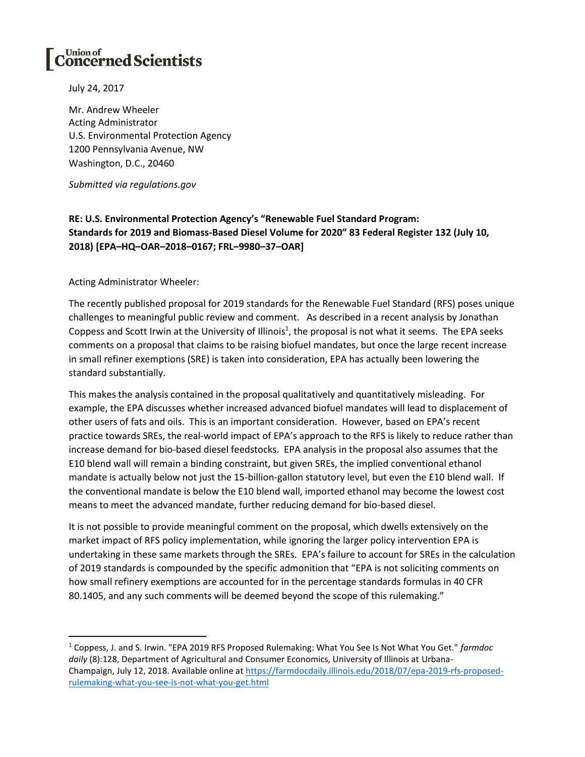## $\left[\textbf{C}^{\text{Union of}}_{\textbf{on} \textbf{c}}\textbf{f} \textbf{f} \textbf{f} \textbf{f} \textbf{f} \textbf{f} \textbf{f} \textbf{f} \textbf{f} \textbf{f} \textbf{f} \textbf{f} \textbf{f} \textbf{f} \textbf{f} \textbf{f} \textbf{f} \textbf{f} \textbf{f} \textbf{f} \textbf{f} \textbf{f} \textbf{f} \textbf{f} \textbf{f} \textbf{f} \textbf{f} \textbf{f} \textbf{f} \textbf{f} \textbf{f} \textbf{f}$

July 24, 2017

Mr. Andrew Wheeler Acting Administrator U.S. Environmental Protection Agency 1200 Pennsylvania Avenue, NW Washington, D.C., 20460

*Submitted via regulations.gov*

## **RE: U.S. Environmental Protection Agency's "Renewable Fuel Standard Program: Standards for 2019 and Biomass-Based Diesel Volume for 2020" 83 Federal Register 132 (July 10, 2018) [EPA–HQ–OAR–2018–0167; FRL–9980–37–OAR]**

Acting Administrator Wheeler:

l

The recently published proposal for 2019 standards for the Renewable Fuel Standard (RFS) poses unique challenges to meaningful public review and comment. As described in a recent analysis by Jonathan Coppess and Scott Irwin at the University of Illinois<sup>1</sup>, the proposal is not what it seems. The EPA seeks comments on a proposal that claims to be raising biofuel mandates, but once the large recent increase in small refiner exemptions (SRE) is taken into consideration, EPA has actually been lowering the standard substantially.

This makes the analysis contained in the proposal qualitatively and quantitatively misleading. For example, the EPA discusses whether increased advanced biofuel mandates will lead to displacement of other users of fats and oils. This is an important consideration. However, based on EPA's recent practice towards SREs, the real-world impact of EPA's approach to the RFS is likely to reduce rather than increase demand for bio-based diesel feedstocks. EPA analysis in the proposal also assumes that the E10 blend wall will remain a binding constraint, but given SREs, the implied conventional ethanol mandate is actually below not just the 15-billion-gallon statutory level, but even the E10 blend wall. If the conventional mandate is below the E10 blend wall, imported ethanol may become the lowest cost means to meet the advanced mandate, further reducing demand for bio-based diesel.

It is not possible to provide meaningful comment on the proposal, which dwells extensively on the market impact of RFS policy implementation, while ignoring the larger policy intervention EPA is undertaking in these same markets through the SREs. EPA's failure to account for SREs in the calculation of 2019 standards is compounded by the specific admonition that "EPA is not soliciting comments on how small refinery exemptions are accounted for in the percentage standards formulas in 40 CFR 80.1405, and any such comments will be deemed beyond the scope of this rulemaking."

<sup>1</sup> Coppess, J. and S. Irwin. "EPA 2019 RFS Proposed Rulemaking: What You See Is Not What You Get." *farmdoc daily* (8):128, Department of Agricultural and Consumer Economics, University of Illinois at Urbana-Champaign, July 12, 2018. Available online at [https://farmdocdaily.illinois.edu/2018/07/epa-2019-rfs-proposed](https://farmdocdaily.illinois.edu/2018/07/epa-2019-rfs-proposed-rulemaking-what-you-see-is-not-what-you-get.html)[rulemaking-what-you-see-is-not-what-you-get.html](https://farmdocdaily.illinois.edu/2018/07/epa-2019-rfs-proposed-rulemaking-what-you-see-is-not-what-you-get.html)